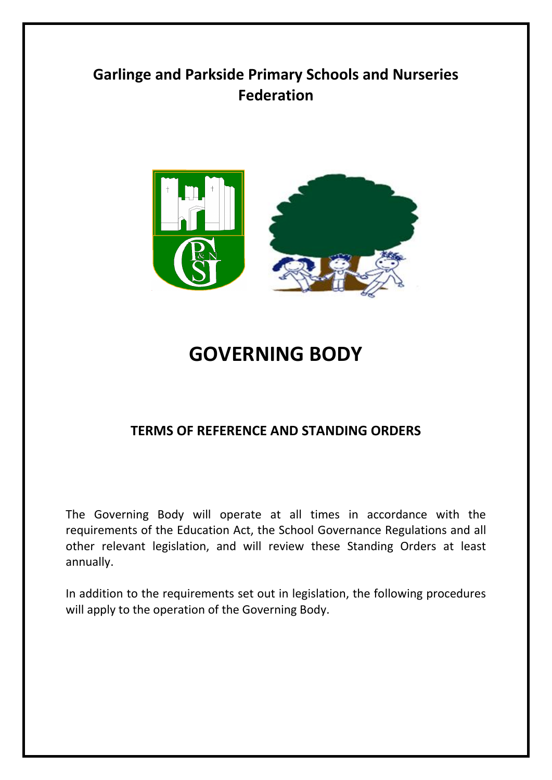# **Garlinge and Parkside Primary Schools and Nurseries Federation**



# **GOVERNING BODY**

# **TERMS OF REFERENCE AND STANDING ORDERS**

The Governing Body will operate at all times in accordance with the requirements of the Education Act, the School Governance Regulations and all other relevant legislation, and will review these Standing Orders at least annually.

In addition to the requirements set out in legislation, the following procedures will apply to the operation of the Governing Body.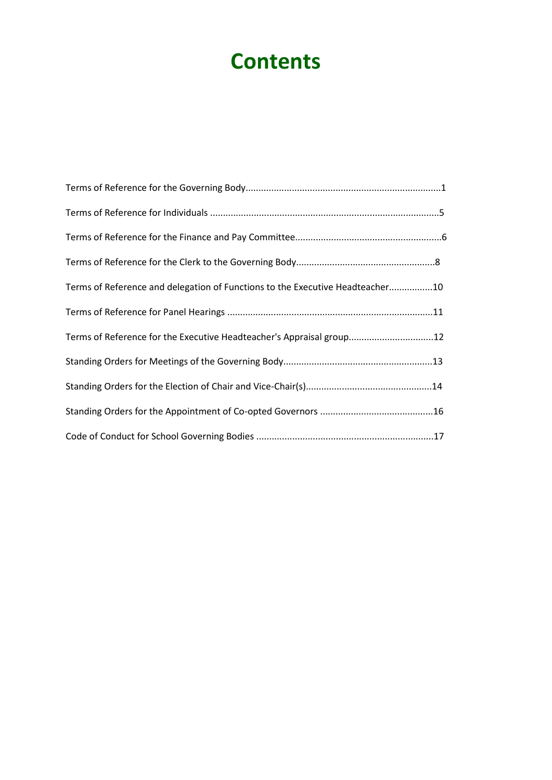# **Contents**

| Terms of Reference and delegation of Functions to the Executive Headteacher10 |  |
|-------------------------------------------------------------------------------|--|
|                                                                               |  |
| Terms of Reference for the Executive Headteacher's Appraisal group12          |  |
|                                                                               |  |
|                                                                               |  |
|                                                                               |  |
|                                                                               |  |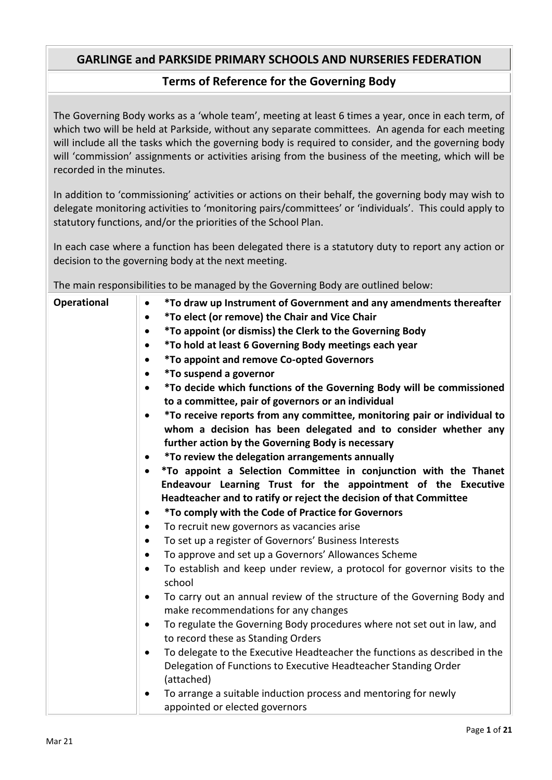# **Terms of Reference for the Governing Body**

The Governing Body works as a 'whole team', meeting at least 6 times a year, once in each term, of which two will be held at Parkside, without any separate committees. An agenda for each meeting will include all the tasks which the governing body is required to consider, and the governing body will 'commission' assignments or activities arising from the business of the meeting, which will be recorded in the minutes.

In addition to 'commissioning' activities or actions on their behalf, the governing body may wish to delegate monitoring activities to 'monitoring pairs/committees' or 'individuals'. This could apply to statutory functions, and/or the priorities of the School Plan.

In each case where a function has been delegated there is a statutory duty to report any action or decision to the governing body at the next meeting.

The main responsibilities to be managed by the Governing Body are outlined below:

| Operational | *To draw up Instrument of Government and any amendments thereafter<br>$\bullet$                                               |
|-------------|-------------------------------------------------------------------------------------------------------------------------------|
|             | *To elect (or remove) the Chair and Vice Chair<br>$\bullet$                                                                   |
|             | *To appoint (or dismiss) the Clerk to the Governing Body<br>$\bullet$                                                         |
|             | *To hold at least 6 Governing Body meetings each year                                                                         |
|             | <i>*To appoint and remove Co-opted Governors</i>                                                                              |
|             | <i>*To suspend a governor</i><br>$\bullet$                                                                                    |
|             | *To decide which functions of the Governing Body will be commissioned<br>$\bullet$                                            |
|             | to a committee, pair of governors or an individual                                                                            |
|             | *To receive reports from any committee, monitoring pair or individual to<br>$\bullet$                                         |
|             | whom a decision has been delegated and to consider whether any                                                                |
|             | further action by the Governing Body is necessary                                                                             |
|             | *To review the delegation arrangements annually                                                                               |
|             | *To appoint a Selection Committee in conjunction with the Thanet<br>$\bullet$                                                 |
|             | Endeavour Learning Trust for the appointment of the Executive                                                                 |
|             | Headteacher and to ratify or reject the decision of that Committee                                                            |
|             | <i>*To comply with the Code of Practice for Governors</i><br>٠                                                                |
|             | To recruit new governors as vacancies arise<br>$\bullet$                                                                      |
|             | To set up a register of Governors' Business Interests<br>$\bullet$                                                            |
|             | To approve and set up a Governors' Allowances Scheme<br>٠                                                                     |
|             | To establish and keep under review, a protocol for governor visits to the<br>school                                           |
|             | To carry out an annual review of the structure of the Governing Body and<br>$\bullet$<br>make recommendations for any changes |
|             | To regulate the Governing Body procedures where not set out in law, and<br>$\bullet$<br>to record these as Standing Orders    |
|             | To delegate to the Executive Headteacher the functions as described in the                                                    |
|             | Delegation of Functions to Executive Headteacher Standing Order                                                               |
|             | (attached)                                                                                                                    |
|             | To arrange a suitable induction process and mentoring for newly<br>$\bullet$                                                  |
|             | appointed or elected governors                                                                                                |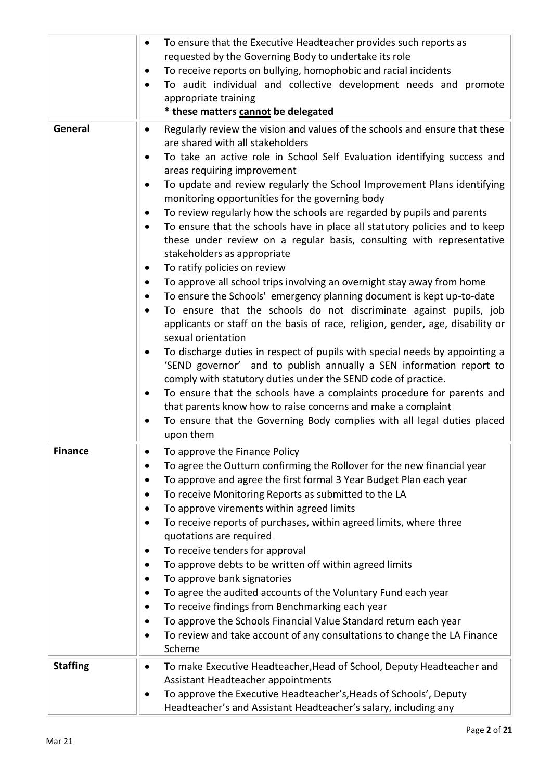|                 | To ensure that the Executive Headteacher provides such reports as<br>$\bullet$<br>requested by the Governing Body to undertake its role<br>To receive reports on bullying, homophobic and racial incidents<br>$\bullet$<br>To audit individual and collective development needs and promote<br>appropriate training<br>* these matters cannot be delegated                                                                                                                                                                                                                                                                                                                                                                                                                                                                                                                                                                                                                                                                                                                                                                                                                                                                                                                                                                                                                                                                                                                                                                                       |
|-----------------|--------------------------------------------------------------------------------------------------------------------------------------------------------------------------------------------------------------------------------------------------------------------------------------------------------------------------------------------------------------------------------------------------------------------------------------------------------------------------------------------------------------------------------------------------------------------------------------------------------------------------------------------------------------------------------------------------------------------------------------------------------------------------------------------------------------------------------------------------------------------------------------------------------------------------------------------------------------------------------------------------------------------------------------------------------------------------------------------------------------------------------------------------------------------------------------------------------------------------------------------------------------------------------------------------------------------------------------------------------------------------------------------------------------------------------------------------------------------------------------------------------------------------------------------------|
| General         | Regularly review the vision and values of the schools and ensure that these<br>$\bullet$<br>are shared with all stakeholders<br>To take an active role in School Self Evaluation identifying success and<br>$\bullet$<br>areas requiring improvement<br>To update and review regularly the School Improvement Plans identifying<br>monitoring opportunities for the governing body<br>To review regularly how the schools are regarded by pupils and parents<br>$\bullet$<br>To ensure that the schools have in place all statutory policies and to keep<br>$\bullet$<br>these under review on a regular basis, consulting with representative<br>stakeholders as appropriate<br>To ratify policies on review<br>٠<br>To approve all school trips involving an overnight stay away from home<br>$\bullet$<br>To ensure the Schools' emergency planning document is kept up-to-date<br>٠<br>To ensure that the schools do not discriminate against pupils, job<br>$\bullet$<br>applicants or staff on the basis of race, religion, gender, age, disability or<br>sexual orientation<br>To discharge duties in respect of pupils with special needs by appointing a<br>'SEND governor' and to publish annually a SEN information report to<br>comply with statutory duties under the SEND code of practice.<br>To ensure that the schools have a complaints procedure for parents and<br>٠<br>that parents know how to raise concerns and make a complaint<br>To ensure that the Governing Body complies with all legal duties placed<br>upon them |
| <b>Finance</b>  | To approve the Finance Policy<br>To agree the Outturn confirming the Rollover for the new financial year<br>To approve and agree the first formal 3 Year Budget Plan each year<br>To receive Monitoring Reports as submitted to the LA<br>٠<br>To approve virements within agreed limits<br>To receive reports of purchases, within agreed limits, where three<br>$\bullet$<br>quotations are required<br>To receive tenders for approval<br>$\bullet$<br>To approve debts to be written off within agreed limits<br>To approve bank signatories<br>$\bullet$<br>To agree the audited accounts of the Voluntary Fund each year<br>$\bullet$<br>To receive findings from Benchmarking each year<br>$\bullet$<br>To approve the Schools Financial Value Standard return each year<br>$\bullet$<br>To review and take account of any consultations to change the LA Finance<br>Scheme                                                                                                                                                                                                                                                                                                                                                                                                                                                                                                                                                                                                                                                               |
| <b>Staffing</b> | To make Executive Headteacher, Head of School, Deputy Headteacher and<br>$\bullet$<br>Assistant Headteacher appointments<br>To approve the Executive Headteacher's, Heads of Schools', Deputy<br>٠<br>Headteacher's and Assistant Headteacher's salary, including any                                                                                                                                                                                                                                                                                                                                                                                                                                                                                                                                                                                                                                                                                                                                                                                                                                                                                                                                                                                                                                                                                                                                                                                                                                                                            |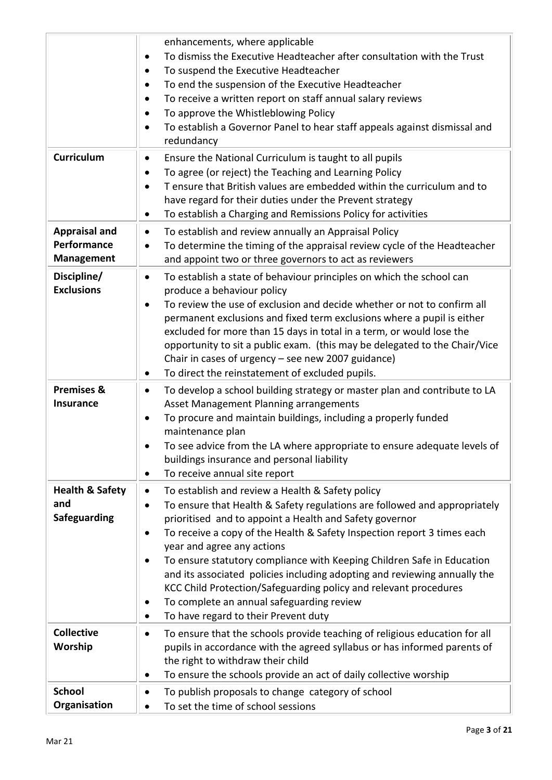|                                                          | enhancements, where applicable<br>To dismiss the Executive Headteacher after consultation with the Trust<br>$\bullet$<br>To suspend the Executive Headteacher<br>$\bullet$<br>To end the suspension of the Executive Headteacher<br>$\bullet$<br>To receive a written report on staff annual salary reviews<br>$\bullet$<br>To approve the Whistleblowing Policy<br>٠<br>To establish a Governor Panel to hear staff appeals against dismissal and<br>$\bullet$<br>redundancy                                                                                                                                                       |
|----------------------------------------------------------|-------------------------------------------------------------------------------------------------------------------------------------------------------------------------------------------------------------------------------------------------------------------------------------------------------------------------------------------------------------------------------------------------------------------------------------------------------------------------------------------------------------------------------------------------------------------------------------------------------------------------------------|
| Curriculum                                               | Ensure the National Curriculum is taught to all pupils<br>$\bullet$<br>To agree (or reject) the Teaching and Learning Policy<br>$\bullet$<br>T ensure that British values are embedded within the curriculum and to<br>$\bullet$<br>have regard for their duties under the Prevent strategy<br>To establish a Charging and Remissions Policy for activities<br>$\bullet$                                                                                                                                                                                                                                                            |
| <b>Appraisal and</b><br>Performance<br><b>Management</b> | To establish and review annually an Appraisal Policy<br>$\bullet$<br>To determine the timing of the appraisal review cycle of the Headteacher<br>$\bullet$<br>and appoint two or three governors to act as reviewers                                                                                                                                                                                                                                                                                                                                                                                                                |
| Discipline/<br><b>Exclusions</b>                         | To establish a state of behaviour principles on which the school can<br>$\bullet$<br>produce a behaviour policy<br>To review the use of exclusion and decide whether or not to confirm all<br>$\bullet$<br>permanent exclusions and fixed term exclusions where a pupil is either<br>excluded for more than 15 days in total in a term, or would lose the<br>opportunity to sit a public exam. (this may be delegated to the Chair/Vice<br>Chair in cases of urgency - see new 2007 guidance)<br>To direct the reinstatement of excluded pupils.                                                                                    |
| <b>Premises &amp;</b><br><b>Insurance</b>                | To develop a school building strategy or master plan and contribute to LA<br>$\bullet$<br>Asset Management Planning arrangements<br>To procure and maintain buildings, including a properly funded<br>$\bullet$<br>maintenance plan<br>To see advice from the LA where appropriate to ensure adequate levels of<br>buildings insurance and personal liability<br>To receive annual site report<br>$\bullet$                                                                                                                                                                                                                         |
| <b>Health &amp; Safety</b><br>and<br><b>Safeguarding</b> | To establish and review a Health & Safety policy<br>$\bullet$<br>To ensure that Health & Safety regulations are followed and appropriately<br>prioritised and to appoint a Health and Safety governor<br>To receive a copy of the Health & Safety Inspection report 3 times each<br>year and agree any actions<br>To ensure statutory compliance with Keeping Children Safe in Education<br>and its associated policies including adopting and reviewing annually the<br>KCC Child Protection/Safeguarding policy and relevant procedures<br>To complete an annual safeguarding review<br>To have regard to their Prevent duty<br>٠ |
| <b>Collective</b><br>Worship                             | To ensure that the schools provide teaching of religious education for all<br>$\bullet$<br>pupils in accordance with the agreed syllabus or has informed parents of<br>the right to withdraw their child<br>To ensure the schools provide an act of daily collective worship<br>$\bullet$                                                                                                                                                                                                                                                                                                                                           |
| <b>School</b><br>Organisation                            | To publish proposals to change category of school<br>٠<br>To set the time of school sessions                                                                                                                                                                                                                                                                                                                                                                                                                                                                                                                                        |
|                                                          |                                                                                                                                                                                                                                                                                                                                                                                                                                                                                                                                                                                                                                     |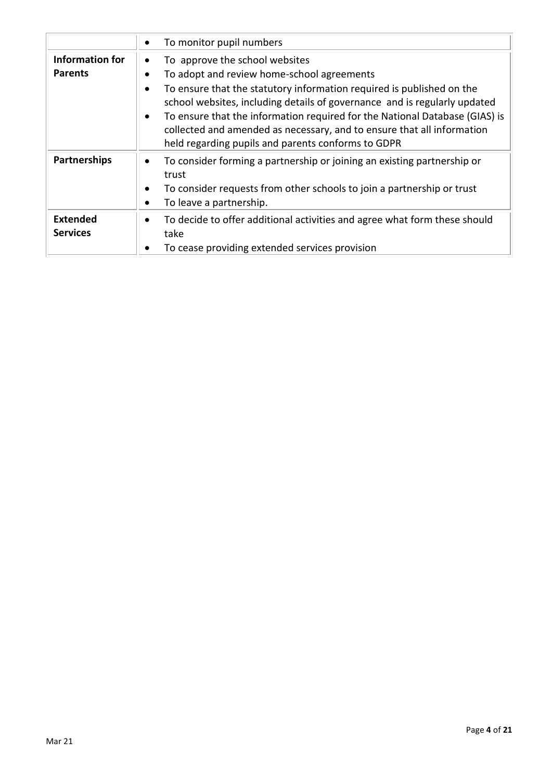|                                          | To monitor pupil numbers                                                                                                                                                                                                                                                                                                                                                                                                                                                                 |
|------------------------------------------|------------------------------------------------------------------------------------------------------------------------------------------------------------------------------------------------------------------------------------------------------------------------------------------------------------------------------------------------------------------------------------------------------------------------------------------------------------------------------------------|
| <b>Information for</b><br><b>Parents</b> | To approve the school websites<br>To adopt and review home-school agreements<br>$\bullet$<br>To ensure that the statutory information required is published on the<br>$\bullet$<br>school websites, including details of governance and is regularly updated<br>To ensure that the information required for the National Database (GIAS) is<br>$\bullet$<br>collected and amended as necessary, and to ensure that all information<br>held regarding pupils and parents conforms to GDPR |
| <b>Partnerships</b>                      | To consider forming a partnership or joining an existing partnership or<br>trust<br>To consider requests from other schools to join a partnership or trust<br>٠<br>To leave a partnership.                                                                                                                                                                                                                                                                                               |
| <b>Extended</b><br><b>Services</b>       | To decide to offer additional activities and agree what form these should<br>$\bullet$<br>take<br>To cease providing extended services provision                                                                                                                                                                                                                                                                                                                                         |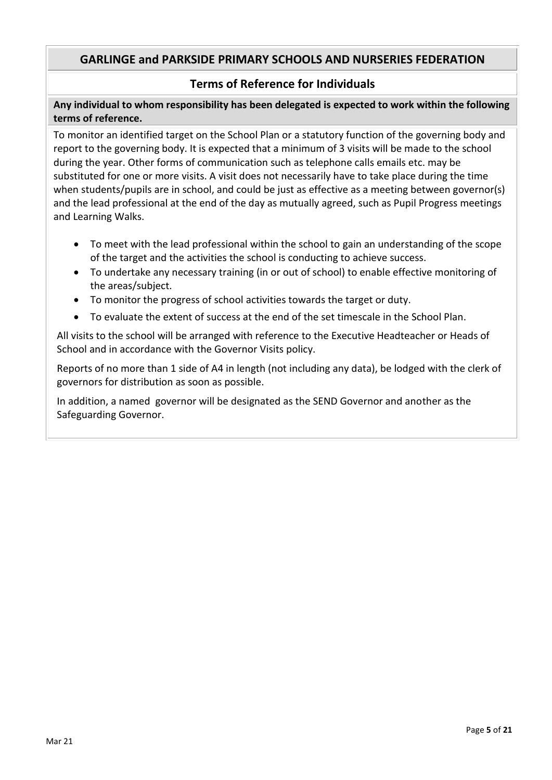### **Terms of Reference for Individuals**

**Any individual to whom responsibility has been delegated is expected to work within the following terms of reference.**

To monitor an identified target on the School Plan or a statutory function of the governing body and report to the governing body. It is expected that a minimum of 3 visits will be made to the school during the year. Other forms of communication such as telephone calls emails etc. may be substituted for one or more visits. A visit does not necessarily have to take place during the time when students/pupils are in school, and could be just as effective as a meeting between governor(s) and the lead professional at the end of the day as mutually agreed, such as Pupil Progress meetings and Learning Walks.

- To meet with the lead professional within the school to gain an understanding of the scope of the target and the activities the school is conducting to achieve success.
- To undertake any necessary training (in or out of school) to enable effective monitoring of the areas/subject.
- To monitor the progress of school activities towards the target or duty.
- To evaluate the extent of success at the end of the set timescale in the School Plan.

All visits to the school will be arranged with reference to the Executive Headteacher or Heads of School and in accordance with the Governor Visits policy.

Reports of no more than 1 side of A4 in length (not including any data), be lodged with the clerk of governors for distribution as soon as possible.

In addition, a named governor will be designated as the SEND Governor and another as the Safeguarding Governor.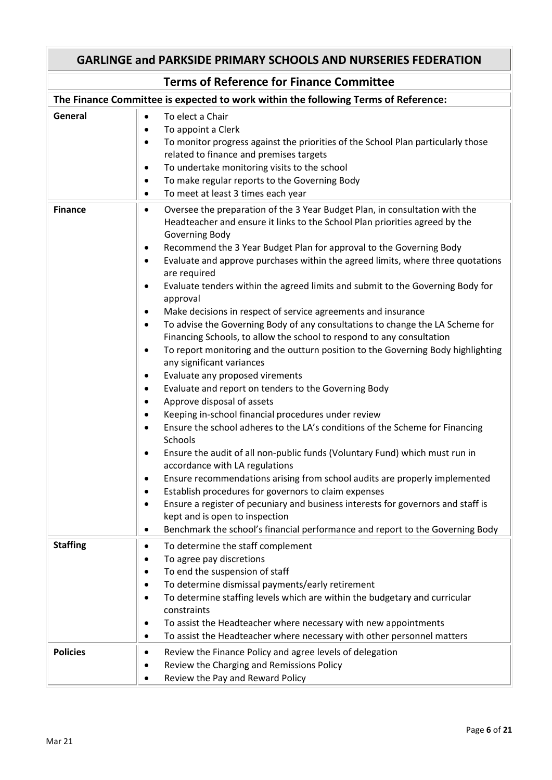| <b>GARLINGE and PARKSIDE PRIMARY SCHOOLS AND NURSERIES FEDERATION</b> |                                                                                                                                                                                                                                                                                                                                                                                                                                                                                                                                                                                                                                                                                                                                                                                                                                                                                                                                                                                                                                                                                                                                                                                                                                                                                                                                                                                                                                                                                                                                                                                                                                                                 |
|-----------------------------------------------------------------------|-----------------------------------------------------------------------------------------------------------------------------------------------------------------------------------------------------------------------------------------------------------------------------------------------------------------------------------------------------------------------------------------------------------------------------------------------------------------------------------------------------------------------------------------------------------------------------------------------------------------------------------------------------------------------------------------------------------------------------------------------------------------------------------------------------------------------------------------------------------------------------------------------------------------------------------------------------------------------------------------------------------------------------------------------------------------------------------------------------------------------------------------------------------------------------------------------------------------------------------------------------------------------------------------------------------------------------------------------------------------------------------------------------------------------------------------------------------------------------------------------------------------------------------------------------------------------------------------------------------------------------------------------------------------|
|                                                                       | <b>Terms of Reference for Finance Committee</b>                                                                                                                                                                                                                                                                                                                                                                                                                                                                                                                                                                                                                                                                                                                                                                                                                                                                                                                                                                                                                                                                                                                                                                                                                                                                                                                                                                                                                                                                                                                                                                                                                 |
|                                                                       | The Finance Committee is expected to work within the following Terms of Reference:                                                                                                                                                                                                                                                                                                                                                                                                                                                                                                                                                                                                                                                                                                                                                                                                                                                                                                                                                                                                                                                                                                                                                                                                                                                                                                                                                                                                                                                                                                                                                                              |
| General                                                               | To elect a Chair<br>$\bullet$<br>To appoint a Clerk<br>$\bullet$<br>To monitor progress against the priorities of the School Plan particularly those<br>$\bullet$<br>related to finance and premises targets<br>To undertake monitoring visits to the school<br>$\bullet$<br>To make regular reports to the Governing Body<br>$\bullet$<br>To meet at least 3 times each year<br>$\bullet$                                                                                                                                                                                                                                                                                                                                                                                                                                                                                                                                                                                                                                                                                                                                                                                                                                                                                                                                                                                                                                                                                                                                                                                                                                                                      |
| <b>Finance</b>                                                        | Oversee the preparation of the 3 Year Budget Plan, in consultation with the<br>٠<br>Headteacher and ensure it links to the School Plan priorities agreed by the<br>Governing Body<br>Recommend the 3 Year Budget Plan for approval to the Governing Body<br>٠<br>Evaluate and approve purchases within the agreed limits, where three quotations<br>$\bullet$<br>are required<br>Evaluate tenders within the agreed limits and submit to the Governing Body for<br>٠<br>approval<br>Make decisions in respect of service agreements and insurance<br>٠<br>To advise the Governing Body of any consultations to change the LA Scheme for<br>$\bullet$<br>Financing Schools, to allow the school to respond to any consultation<br>To report monitoring and the outturn position to the Governing Body highlighting<br>$\bullet$<br>any significant variances<br>Evaluate any proposed virements<br>٠<br>Evaluate and report on tenders to the Governing Body<br>$\bullet$<br>Approve disposal of assets<br>$\bullet$<br>Keeping in-school financial procedures under review<br>$\bullet$<br>Ensure the school adheres to the LA's conditions of the Scheme for Financing<br>Schools<br>Ensure the audit of all non-public funds (Voluntary Fund) which must run in<br>٠<br>accordance with LA regulations<br>Ensure recommendations arising from school audits are properly implemented<br>Establish procedures for governors to claim expenses<br>٠<br>Ensure a register of pecuniary and business interests for governors and staff is<br>kept and is open to inspection<br>Benchmark the school's financial performance and report to the Governing Body<br>٠ |
| <b>Staffing</b>                                                       | To determine the staff complement<br>$\bullet$<br>To agree pay discretions<br>To end the suspension of staff<br>٠<br>To determine dismissal payments/early retirement<br>٠<br>To determine staffing levels which are within the budgetary and curricular<br>٠<br>constraints<br>To assist the Headteacher where necessary with new appointments<br>٠<br>To assist the Headteacher where necessary with other personnel matters<br>٠                                                                                                                                                                                                                                                                                                                                                                                                                                                                                                                                                                                                                                                                                                                                                                                                                                                                                                                                                                                                                                                                                                                                                                                                                             |
| <b>Policies</b>                                                       | Review the Finance Policy and agree levels of delegation<br>٠<br>Review the Charging and Remissions Policy<br>Review the Pay and Reward Policy                                                                                                                                                                                                                                                                                                                                                                                                                                                                                                                                                                                                                                                                                                                                                                                                                                                                                                                                                                                                                                                                                                                                                                                                                                                                                                                                                                                                                                                                                                                  |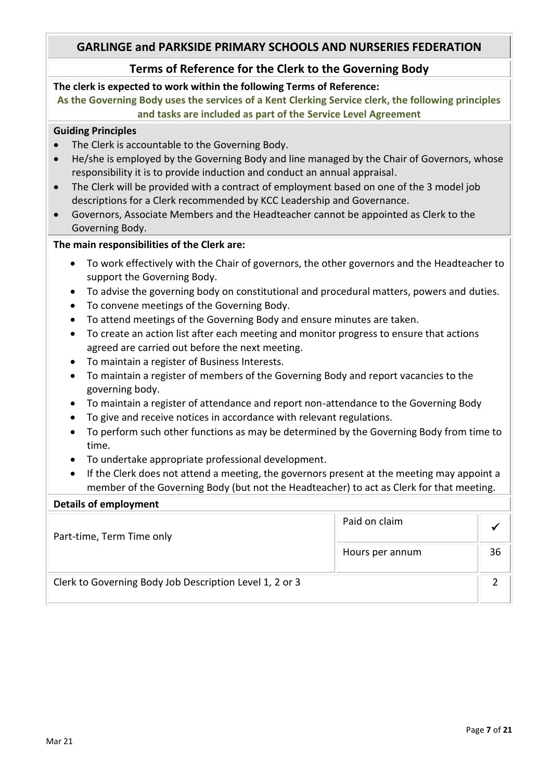### **Terms of Reference for the Clerk to the Governing Body**

#### **The clerk is expected to work within the following Terms of Reference:**

**As the Governing Body uses the services of a Kent Clerking Service clerk, the following principles and tasks are included as part of the Service Level Agreement**

#### **Guiding Principles**

- The Clerk is accountable to the Governing Body.
- He/she is employed by the Governing Body and line managed by the Chair of Governors, whose responsibility it is to provide induction and conduct an annual appraisal.
- The Clerk will be provided with a contract of employment based on one of the 3 model job descriptions for a Clerk recommended by KCC Leadership and Governance.
- Governors, Associate Members and the Headteacher cannot be appointed as Clerk to the Governing Body.

#### **The main responsibilities of the Clerk are:**

- To work effectively with the Chair of governors, the other governors and the Headteacher to support the Governing Body.
- To advise the governing body on constitutional and procedural matters, powers and duties.
- To convene meetings of the Governing Body.
- To attend meetings of the Governing Body and ensure minutes are taken.
- To create an action list after each meeting and monitor progress to ensure that actions agreed are carried out before the next meeting.
- To maintain a register of Business Interests.
- To maintain a register of members of the Governing Body and report vacancies to the governing body.
- To maintain a register of attendance and report non-attendance to the Governing Body
- To give and receive notices in accordance with relevant regulations.
- To perform such other functions as may be determined by the Governing Body from time to time.
- To undertake appropriate professional development.
- If the Clerk does not attend a meeting, the governors present at the meeting may appoint a member of the Governing Body (but not the Headteacher) to act as Clerk for that meeting.

#### **Details of employment**

| Part-time, Term Time only                               | Paid on claim   |    |
|---------------------------------------------------------|-----------------|----|
|                                                         | Hours per annum | 36 |
| Clerk to Governing Body Job Description Level 1, 2 or 3 |                 |    |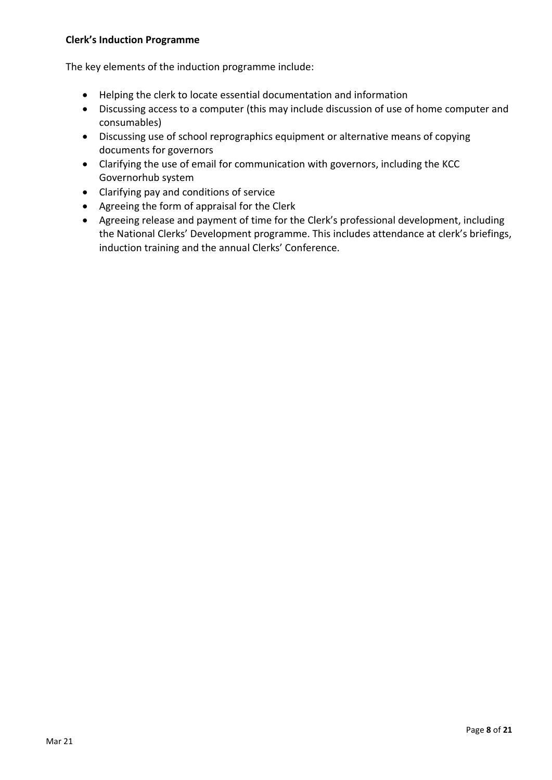#### **Clerk's Induction Programme**

The key elements of the induction programme include:

- Helping the clerk to locate essential documentation and information
- Discussing access to a computer (this may include discussion of use of home computer and consumables)
- Discussing use of school reprographics equipment or alternative means of copying documents for governors
- Clarifying the use of email for communication with governors, including the KCC Governorhub system
- Clarifying pay and conditions of service
- Agreeing the form of appraisal for the Clerk
- Agreeing release and payment of time for the Clerk's professional development, including the National Clerks' Development programme. This includes attendance at clerk's briefings, induction training and the annual Clerks' Conference.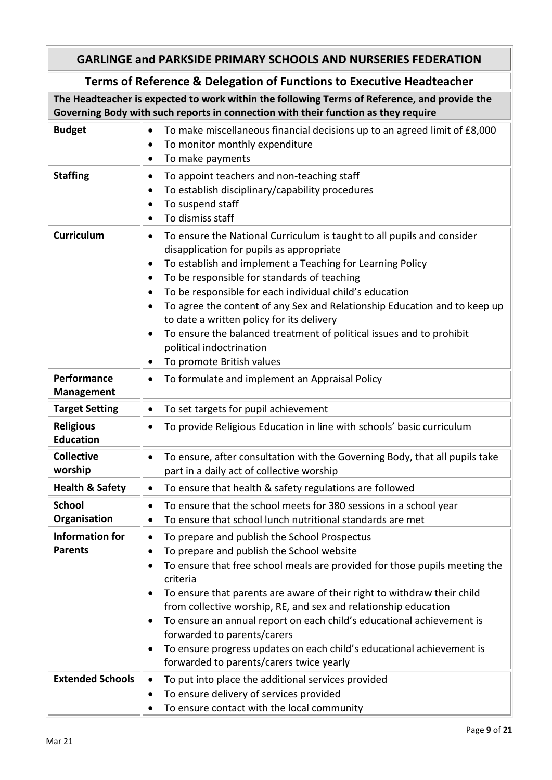# **Terms of Reference & Delegation of Functions to Executive Headteacher**

**The Headteacher is expected to work within the following Terms of Reference, and provide the Governing Body with such reports in connection with their function as they require**

| <b>Budget</b>                            | To make miscellaneous financial decisions up to an agreed limit of £8,000<br>٠<br>To monitor monthly expenditure<br>٠<br>To make payments<br>٠                                                                                                                                                                                                                                                                                                                                                                                                                                                                                          |
|------------------------------------------|-----------------------------------------------------------------------------------------------------------------------------------------------------------------------------------------------------------------------------------------------------------------------------------------------------------------------------------------------------------------------------------------------------------------------------------------------------------------------------------------------------------------------------------------------------------------------------------------------------------------------------------------|
| <b>Staffing</b>                          | To appoint teachers and non-teaching staff<br>٠<br>To establish disciplinary/capability procedures<br>٠<br>To suspend staff<br>٠<br>To dismiss staff<br>$\bullet$                                                                                                                                                                                                                                                                                                                                                                                                                                                                       |
| <b>Curriculum</b>                        | To ensure the National Curriculum is taught to all pupils and consider<br>٠<br>disapplication for pupils as appropriate<br>To establish and implement a Teaching for Learning Policy<br>$\bullet$<br>To be responsible for standards of teaching<br>$\bullet$<br>To be responsible for each individual child's education<br>$\bullet$<br>To agree the content of any Sex and Relationship Education and to keep up<br>$\bullet$<br>to date a written policy for its delivery<br>To ensure the balanced treatment of political issues and to prohibit<br>$\bullet$<br>political indoctrination<br>To promote British values<br>$\bullet$ |
| Performance<br><b>Management</b>         | To formulate and implement an Appraisal Policy<br>$\bullet$                                                                                                                                                                                                                                                                                                                                                                                                                                                                                                                                                                             |
| <b>Target Setting</b>                    | To set targets for pupil achievement<br>$\bullet$                                                                                                                                                                                                                                                                                                                                                                                                                                                                                                                                                                                       |
| <b>Religious</b><br><b>Education</b>     | To provide Religious Education in line with schools' basic curriculum<br>$\bullet$                                                                                                                                                                                                                                                                                                                                                                                                                                                                                                                                                      |
| <b>Collective</b><br>worship             | To ensure, after consultation with the Governing Body, that all pupils take<br>$\bullet$<br>part in a daily act of collective worship                                                                                                                                                                                                                                                                                                                                                                                                                                                                                                   |
| <b>Health &amp; Safety</b>               | To ensure that health & safety regulations are followed<br>$\bullet$                                                                                                                                                                                                                                                                                                                                                                                                                                                                                                                                                                    |
| <b>School</b><br>Organisation            | To ensure that the school meets for 380 sessions in a school year<br>$\bullet$<br>To ensure that school lunch nutritional standards are met                                                                                                                                                                                                                                                                                                                                                                                                                                                                                             |
| <b>Information for</b><br><b>Parents</b> | To prepare and publish the School Prospectus<br>To prepare and publish the School website<br>٠<br>To ensure that free school meals are provided for those pupils meeting the<br>$\bullet$<br>criteria<br>To ensure that parents are aware of their right to withdraw their child<br>٠<br>from collective worship, RE, and sex and relationship education<br>To ensure an annual report on each child's educational achievement is<br>٠<br>forwarded to parents/carers<br>To ensure progress updates on each child's educational achievement is<br>٠<br>forwarded to parents/carers twice yearly                                         |
| <b>Extended Schools</b>                  | To put into place the additional services provided<br>$\bullet$<br>To ensure delivery of services provided<br>٠<br>To ensure contact with the local community<br>٠                                                                                                                                                                                                                                                                                                                                                                                                                                                                      |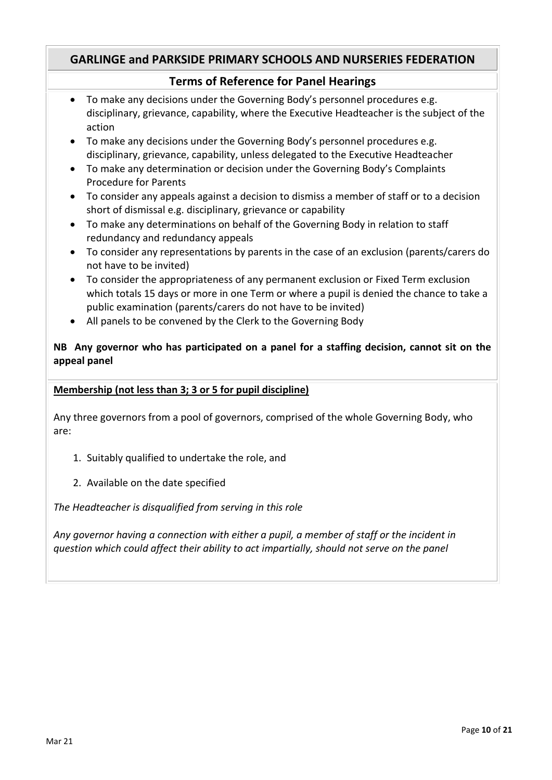### **Terms of Reference for Panel Hearings**

- To make any decisions under the Governing Body's personnel procedures e.g. disciplinary, grievance, capability, where the Executive Headteacher is the subject of the action
- To make any decisions under the Governing Body's personnel procedures e.g. disciplinary, grievance, capability, unless delegated to the Executive Headteacher
- To make any determination or decision under the Governing Body's Complaints Procedure for Parents
- To consider any appeals against a decision to dismiss a member of staff or to a decision short of dismissal e.g. disciplinary, grievance or capability
- To make any determinations on behalf of the Governing Body in relation to staff redundancy and redundancy appeals
- To consider any representations by parents in the case of an exclusion (parents/carers do not have to be invited)
- To consider the appropriateness of any permanent exclusion or Fixed Term exclusion which totals 15 days or more in one Term or where a pupil is denied the chance to take a public examination (parents/carers do not have to be invited)
- All panels to be convened by the Clerk to the Governing Body

#### **NB Any governor who has participated on a panel for a staffing decision, cannot sit on the appeal panel**

#### **Membership (not less than 3; 3 or 5 for pupil discipline)**

Any three governors from a pool of governors, comprised of the whole Governing Body, who are:

- 1. Suitably qualified to undertake the role, and
- 2. Available on the date specified

*The Headteacher is disqualified from serving in this role*

*Any governor having a connection with either a pupil, a member of staff or the incident in question which could affect their ability to act impartially, should not serve on the panel*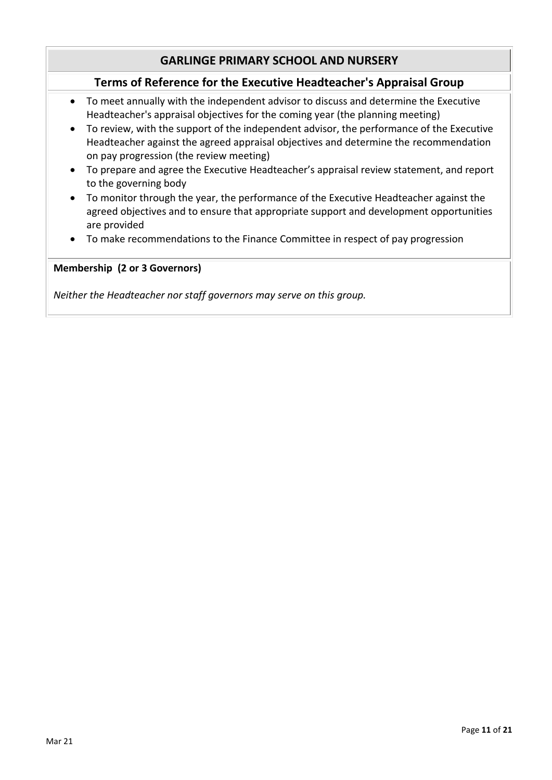# **GARLINGE PRIMARY SCHOOL AND NURSERY**

### **Terms of Reference for the Executive Headteacher's Appraisal Group**

- To meet annually with the independent advisor to discuss and determine the Executive Headteacher's appraisal objectives for the coming year (the planning meeting)
- To review, with the support of the independent advisor, the performance of the Executive Headteacher against the agreed appraisal objectives and determine the recommendation on pay progression (the review meeting)
- To prepare and agree the Executive Headteacher's appraisal review statement, and report to the governing body
- To monitor through the year, the performance of the Executive Headteacher against the agreed objectives and to ensure that appropriate support and development opportunities are provided
- To make recommendations to the Finance Committee in respect of pay progression

#### **Membership (2 or 3 Governors)**

*Neither the Headteacher nor staff governors may serve on this group.*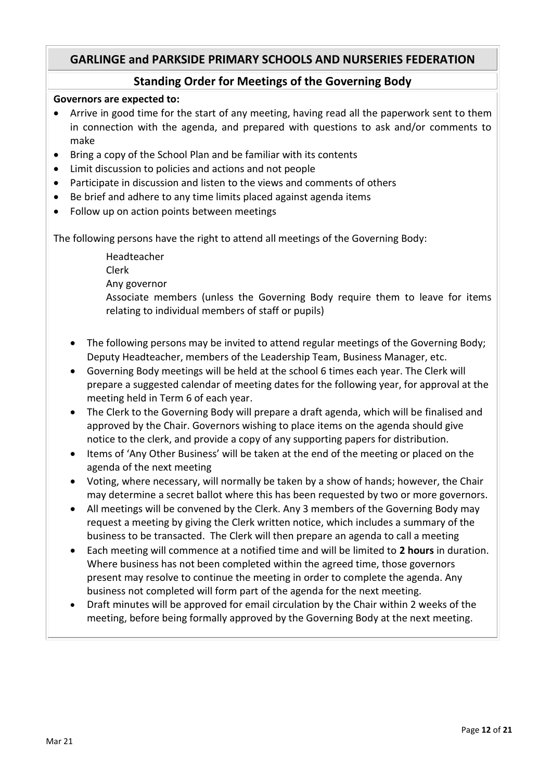### **Standing Order for Meetings of the Governing Body**

#### **Governors are expected to:**

- Arrive in good time for the start of any meeting, having read all the paperwork sent to them in connection with the agenda, and prepared with questions to ask and/or comments to make
- Bring a copy of the School Plan and be familiar with its contents
- Limit discussion to policies and actions and not people
- Participate in discussion and listen to the views and comments of others
- Be brief and adhere to any time limits placed against agenda items
- Follow up on action points between meetings

The following persons have the right to attend all meetings of the Governing Body:

Headteacher Clerk Any governor

Associate members (unless the Governing Body require them to leave for items relating to individual members of staff or pupils)

- The following persons may be invited to attend regular meetings of the Governing Body; Deputy Headteacher, members of the Leadership Team, Business Manager, etc.
- Governing Body meetings will be held at the school 6 times each year. The Clerk will prepare a suggested calendar of meeting dates for the following year, for approval at the meeting held in Term 6 of each year.
- The Clerk to the Governing Body will prepare a draft agenda, which will be finalised and approved by the Chair. Governors wishing to place items on the agenda should give notice to the clerk, and provide a copy of any supporting papers for distribution.
- Items of 'Any Other Business' will be taken at the end of the meeting or placed on the agenda of the next meeting
- Voting, where necessary, will normally be taken by a show of hands; however, the Chair may determine a secret ballot where this has been requested by two or more governors.
- All meetings will be convened by the Clerk. Any 3 members of the Governing Body may request a meeting by giving the Clerk written notice, which includes a summary of the business to be transacted. The Clerk will then prepare an agenda to call a meeting
- Each meeting will commence at a notified time and will be limited to **2 hours** in duration. Where business has not been completed within the agreed time, those governors present may resolve to continue the meeting in order to complete the agenda. Any business not completed will form part of the agenda for the next meeting.
- Draft minutes will be approved for email circulation by the Chair within 2 weeks of the meeting, before being formally approved by the Governing Body at the next meeting.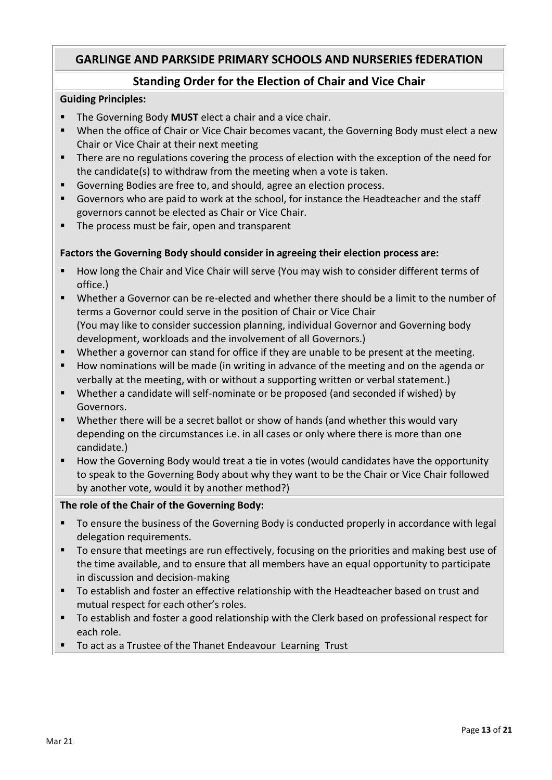# **Standing Order for the Election of Chair and Vice Chair**

#### **Guiding Principles:**

- **The Governing Body MUST** elect a chair and a vice chair.
- When the office of Chair or Vice Chair becomes vacant, the Governing Body must elect a new Chair or Vice Chair at their next meeting
- There are no regulations covering the process of election with the exception of the need for the candidate(s) to withdraw from the meeting when a vote is taken.
- Governing Bodies are free to, and should, agree an election process.
- Governors who are paid to work at the school, for instance the Headteacher and the staff governors cannot be elected as Chair or Vice Chair.
- **The process must be fair, open and transparent**

#### **Factors the Governing Body should consider in agreeing their election process are:**

- **How long the Chair and Vice Chair will serve (You may wish to consider different terms of** office.)
- Whether a Governor can be re-elected and whether there should be a limit to the number of terms a Governor could serve in the position of Chair or Vice Chair (You may like to consider succession planning, individual Governor and Governing body development, workloads and the involvement of all Governors.)
- Whether a governor can stand for office if they are unable to be present at the meeting.
- **How nominations will be made (in writing in advance of the meeting and on the agenda or** verbally at the meeting, with or without a supporting written or verbal statement.)
- Whether a candidate will self-nominate or be proposed (and seconded if wished) by Governors.
- Whether there will be a secret ballot or show of hands (and whether this would vary depending on the circumstances i.e. in all cases or only where there is more than one candidate.)
- **How the Governing Body would treat a tie in votes (would candidates have the opportunity** to speak to the Governing Body about why they want to be the Chair or Vice Chair followed by another vote, would it by another method?)

#### **The role of the Chair of the Governing Body:**

- To ensure the business of the Governing Body is conducted properly in accordance with legal delegation requirements.
- To ensure that meetings are run effectively, focusing on the priorities and making best use of the time available, and to ensure that all members have an equal opportunity to participate in discussion and decision-making
- To establish and foster an effective relationship with the Headteacher based on trust and mutual respect for each other's roles.
- To establish and foster a good relationship with the Clerk based on professional respect for each role.
- To act as a Trustee of the Thanet Endeavour Learning Trust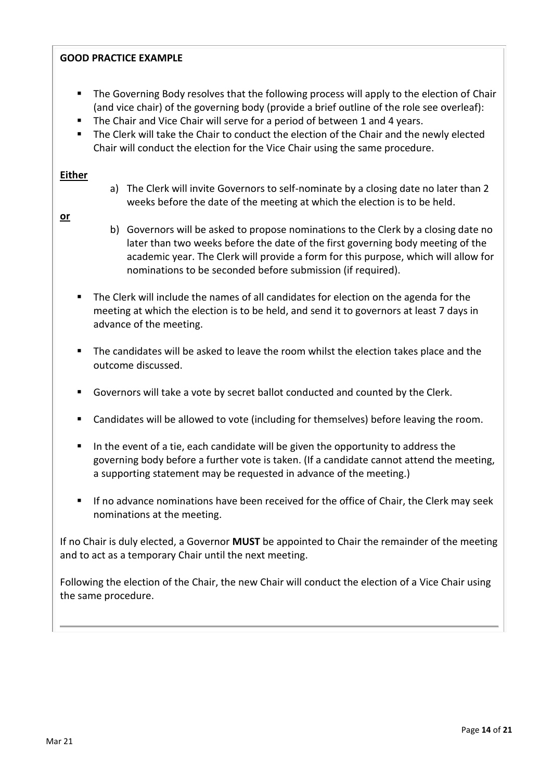#### **GOOD PRACTICE EXAMPLE**

- **The Governing Body resolves that the following process will apply to the election of Chair** (and vice chair) of the governing body (provide a brief outline of the role see overleaf):
- The Chair and Vice Chair will serve for a period of between 1 and 4 years.
- **The Clerk will take the Chair to conduct the election of the Chair and the newly elected** Chair will conduct the election for the Vice Chair using the same procedure.

#### **Either**

a) The Clerk will invite Governors to self-nominate by a closing date no later than 2 weeks before the date of the meeting at which the election is to be held.

#### **or**

- b) Governors will be asked to propose nominations to the Clerk by a closing date no later than two weeks before the date of the first governing body meeting of the academic year. The Clerk will provide a form for this purpose, which will allow for nominations to be seconded before submission (if required).
- The Clerk will include the names of all candidates for election on the agenda for the meeting at which the election is to be held, and send it to governors at least 7 days in advance of the meeting.
- The candidates will be asked to leave the room whilst the election takes place and the outcome discussed.
- Governors will take a vote by secret ballot conducted and counted by the Clerk.
- **EXEC** Candidates will be allowed to vote (including for themselves) before leaving the room.
- In the event of a tie, each candidate will be given the opportunity to address the governing body before a further vote is taken. (If a candidate cannot attend the meeting, a supporting statement may be requested in advance of the meeting.)
- **If no advance nominations have been received for the office of Chair, the Clerk may seek** nominations at the meeting.

If no Chair is duly elected, a Governor **MUST** be appointed to Chair the remainder of the meeting and to act as a temporary Chair until the next meeting.

Following the election of the Chair, the new Chair will conduct the election of a Vice Chair using the same procedure.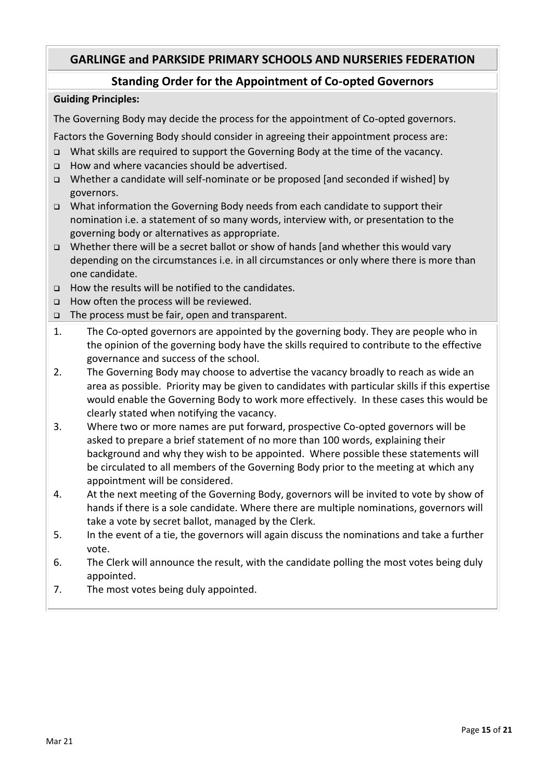## **Standing Order for the Appointment of Co-opted Governors**

#### **Guiding Principles:**

The Governing Body may decide the process for the appointment of Co-opted governors.

Factors the Governing Body should consider in agreeing their appointment process are:

- What skills are required to support the Governing Body at the time of the vacancy.
- □ How and where vacancies should be advertised.
- Whether a candidate will self-nominate or be proposed [and seconded if wished] by governors.
- What information the Governing Body needs from each candidate to support their nomination i.e. a statement of so many words, interview with, or presentation to the governing body or alternatives as appropriate.
- $\Box$  Whether there will be a secret ballot or show of hands [and whether this would vary depending on the circumstances i.e. in all circumstances or only where there is more than one candidate.
- $\Box$  How the results will be notified to the candidates.
- □ How often the process will be reviewed.
- The process must be fair, open and transparent.
- 1. The Co-opted governors are appointed by the governing body. They are people who in the opinion of the governing body have the skills required to contribute to the effective governance and success of the school.
- 2. The Governing Body may choose to advertise the vacancy broadly to reach as wide an area as possible. Priority may be given to candidates with particular skills if this expertise would enable the Governing Body to work more effectively. In these cases this would be clearly stated when notifying the vacancy.
- 3. Where two or more names are put forward, prospective Co-opted governors will be asked to prepare a brief statement of no more than 100 words, explaining their background and why they wish to be appointed. Where possible these statements will be circulated to all members of the Governing Body prior to the meeting at which any appointment will be considered.
- 4. At the next meeting of the Governing Body, governors will be invited to vote by show of hands if there is a sole candidate. Where there are multiple nominations, governors will take a vote by secret ballot, managed by the Clerk.
- 5. In the event of a tie, the governors will again discuss the nominations and take a further vote.
- 6. The Clerk will announce the result, with the candidate polling the most votes being duly appointed.
- 7. The most votes being duly appointed.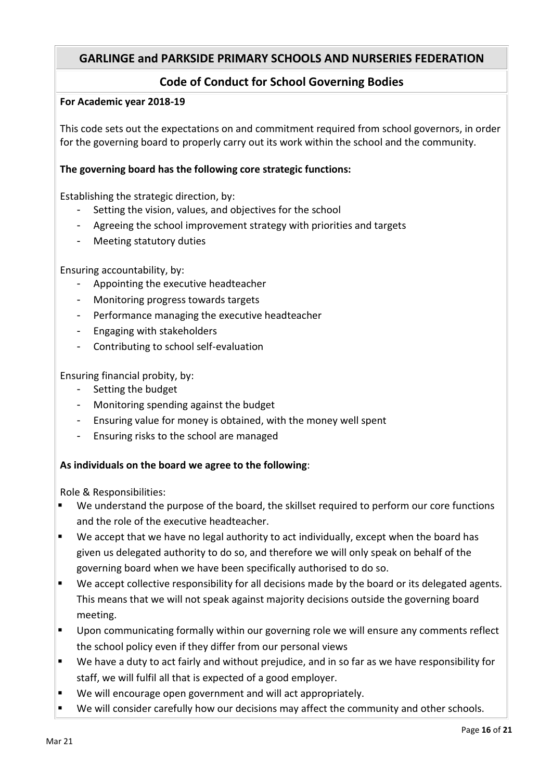# **Code of Conduct for School Governing Bodies**

#### **For Academic year 2018-19**

This code sets out the expectations on and commitment required from school governors, in order for the governing board to properly carry out its work within the school and the community.

#### **The governing board has the following core strategic functions:**

Establishing the strategic direction, by:

- Setting the vision, values, and objectives for the school
- Agreeing the school improvement strategy with priorities and targets
- Meeting statutory duties

Ensuring accountability, by:

- Appointing the executive headteacher
- Monitoring progress towards targets
- Performance managing the executive headteacher
- Engaging with stakeholders
- Contributing to school self-evaluation

Ensuring financial probity, by:

- Setting the budget
- Monitoring spending against the budget
- Ensuring value for money is obtained, with the money well spent
- Ensuring risks to the school are managed

#### **As individuals on the board we agree to the following**:

Role & Responsibilities:

- We understand the purpose of the board, the skillset required to perform our core functions and the role of the executive headteacher.
- We accept that we have no legal authority to act individually, except when the board has given us delegated authority to do so, and therefore we will only speak on behalf of the governing board when we have been specifically authorised to do so.
- We accept collective responsibility for all decisions made by the board or its delegated agents. This means that we will not speak against majority decisions outside the governing board meeting.
- Upon communicating formally within our governing role we will ensure any comments reflect the school policy even if they differ from our personal views
- We have a duty to act fairly and without prejudice, and in so far as we have responsibility for staff, we will fulfil all that is expected of a good employer.
- We will encourage open government and will act appropriately.
- We will consider carefully how our decisions may affect the community and other schools.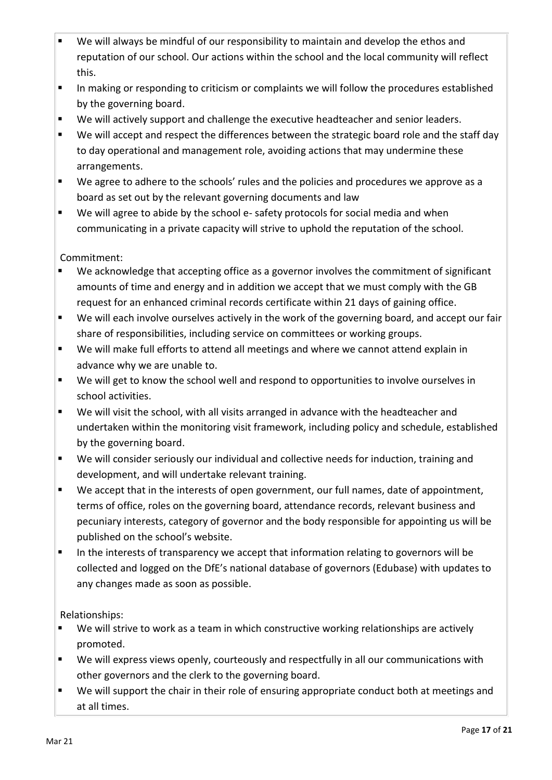- We will always be mindful of our responsibility to maintain and develop the ethos and reputation of our school. Our actions within the school and the local community will reflect this.
- In making or responding to criticism or complaints we will follow the procedures established by the governing board.
- We will actively support and challenge the executive headteacher and senior leaders.
- We will accept and respect the differences between the strategic board role and the staff day to day operational and management role, avoiding actions that may undermine these arrangements.
- We agree to adhere to the schools' rules and the policies and procedures we approve as a board as set out by the relevant governing documents and law
- We will agree to abide by the school e- safety protocols for social media and when communicating in a private capacity will strive to uphold the reputation of the school.

# Commitment:

- We acknowledge that accepting office as a governor involves the commitment of significant amounts of time and energy and in addition we accept that we must comply with the GB request for an enhanced criminal records certificate within 21 days of gaining office.
- We will each involve ourselves actively in the work of the governing board, and accept our fair share of responsibilities, including service on committees or working groups.
- We will make full efforts to attend all meetings and where we cannot attend explain in advance why we are unable to.
- We will get to know the school well and respond to opportunities to involve ourselves in school activities.
- We will visit the school, with all visits arranged in advance with the headteacher and undertaken within the monitoring visit framework, including policy and schedule, established by the governing board.
- We will consider seriously our individual and collective needs for induction, training and development, and will undertake relevant training.
- We accept that in the interests of open government, our full names, date of appointment, terms of office, roles on the governing board, attendance records, relevant business and pecuniary interests, category of governor and the body responsible for appointing us will be published on the school's website.
- In the interests of transparency we accept that information relating to governors will be collected and logged on the DfE's national database of governors (Edubase) with updates to any changes made as soon as possible.

#### Relationships:

- We will strive to work as a team in which constructive working relationships are actively promoted.
- We will express views openly, courteously and respectfully in all our communications with other governors and the clerk to the governing board.
- We will support the chair in their role of ensuring appropriate conduct both at meetings and at all times.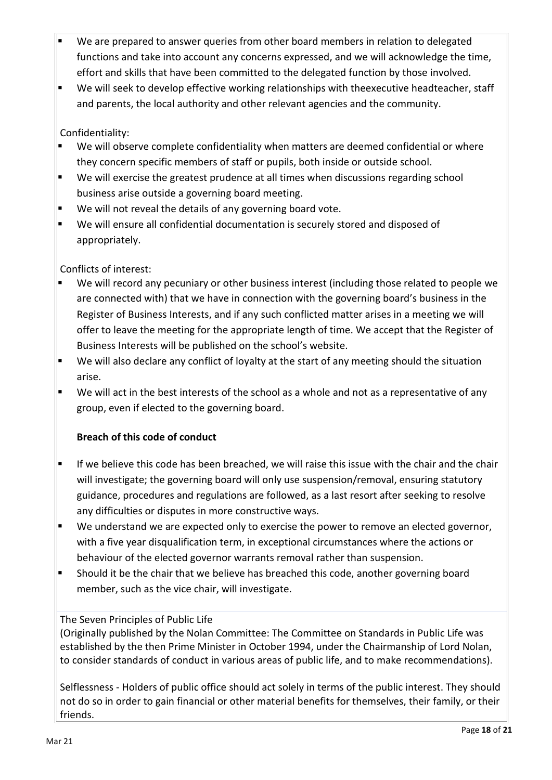- We are prepared to answer queries from other board members in relation to delegated functions and take into account any concerns expressed, and we will acknowledge the time, effort and skills that have been committed to the delegated function by those involved.
- We will seek to develop effective working relationships with theexecutive headteacher, staff and parents, the local authority and other relevant agencies and the community.

Confidentiality:

- We will observe complete confidentiality when matters are deemed confidential or where they concern specific members of staff or pupils, both inside or outside school.
- We will exercise the greatest prudence at all times when discussions regarding school business arise outside a governing board meeting.
- We will not reveal the details of any governing board vote.
- We will ensure all confidential documentation is securely stored and disposed of appropriately.

Conflicts of interest:

- We will record any pecuniary or other business interest (including those related to people we are connected with) that we have in connection with the governing board's business in the Register of Business Interests, and if any such conflicted matter arises in a meeting we will offer to leave the meeting for the appropriate length of time. We accept that the Register of Business Interests will be published on the school's website.
- We will also declare any conflict of loyalty at the start of any meeting should the situation arise.
- We will act in the best interests of the school as a whole and not as a representative of any group, even if elected to the governing board.

# **Breach of this code of conduct**

- **If we believe this code has been breached, we will raise this issue with the chair and the chair** will investigate; the governing board will only use suspension/removal, ensuring statutory guidance, procedures and regulations are followed, as a last resort after seeking to resolve any difficulties or disputes in more constructive ways.
- We understand we are expected only to exercise the power to remove an elected governor, with a five year disqualification term, in exceptional circumstances where the actions or behaviour of the elected governor warrants removal rather than suspension.
- Should it be the chair that we believe has breached this code, another governing board member, such as the vice chair, will investigate.

# The Seven Principles of Public Life

(Originally published by the Nolan Committee: The Committee on Standards in Public Life was established by the then Prime Minister in October 1994, under the Chairmanship of Lord Nolan, to consider standards of conduct in various areas of public life, and to make recommendations).

Selflessness - Holders of public office should act solely in terms of the public interest. They should not do so in order to gain financial or other material benefits for themselves, their family, or their friends.